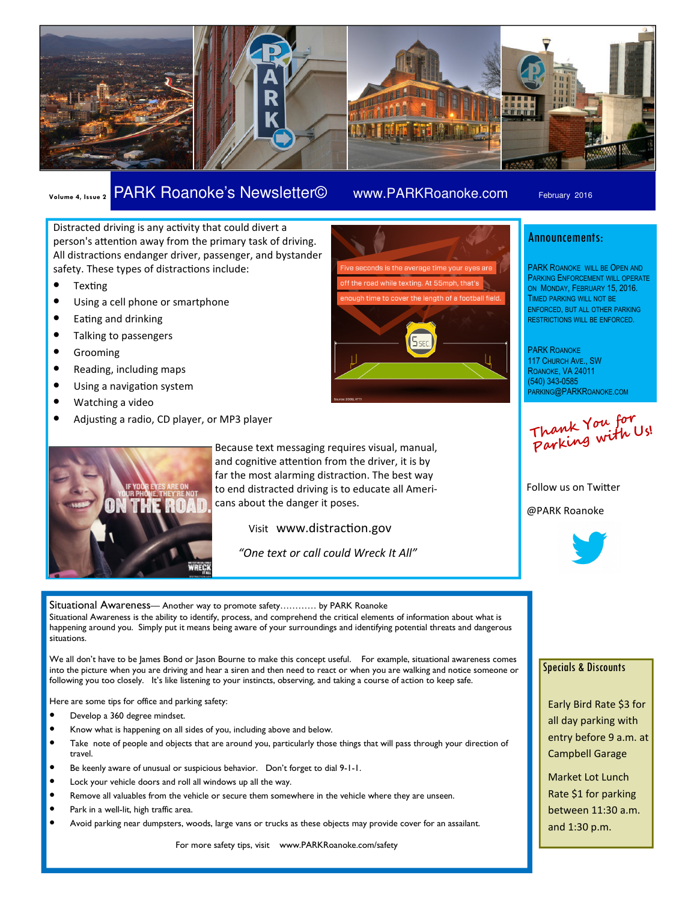

## Volume 4, Issue 2 PARK Roanoke's Newsletter© www.PARKRoanoke.com February 2016

Distracted driving is any activity that could divert a person's attention away from the primary task of driving. All distractions endanger driver, passenger, and bystander safety. These types of distractions include:

- $\bullet$  Texting
- Using a cell phone or smartphone
- Eating and drinking
- Talking to passengers
- Grooming
- Reading, including maps
- Using a navigation system
- Watching a video
- Adjusting a radio, CD player, or MP3 player



Because text messaging requires visual, manual, and cognitive attention from the driver, it is by far the most alarming distraction. The best way to end distracted driving is to educate all Americans about the danger it poses.

Visit www.distraction.gov

"One text or call could Wreck It All"

Situational Awareness— Another way to promote safety………… by PARK Roanoke Situational Awareness is the ability to identify, process, and comprehend the critical elements of information about what is happening around you. Simply put it means being aware of your surroundings and identifying potential threats and dangerous situations.

We all don't have to be lames Bond or lason Bourne to make this concept useful. For example, situational awareness comes into the picture when you are driving and hear a siren and then need to react or when you are walking and notice someone or following you too closely. It's like listening to your instincts, observing, and taking a course of action to keep safe.

Here are some tips for office and parking safety:

- Develop a 360 degree mindset.
- Know what is happening on all sides of you, including above and below.
- Take note of people and objects that are around you, particularly those things that will pass through your direction of travel.
- Be keenly aware of unusual or suspicious behavior. Don't forget to dial 9-1-1.
- Lock your vehicle doors and roll all windows up all the way.
- Remove all valuables from the vehicle or secure them somewhere in the vehicle where they are unseen.
- Park in a well-lit, high traffic area.
- Avoid parking near dumpsters, woods, large vans or trucks as these objects may provide cover for an assailant.

For more safety tips, visit www.PARKRoanoke.com/safety



### Announcements:

PARK ROANOKE WILL BE OPEN AND PARKING ENFORCEMENT WILL OPERATE ON MONDAY, FEBRUARY 15, 2016. TIMED PARKING WILL NOT BE ENFORCED, BUT ALL OTHER PARKING RESTRICTIONS WILL BE ENFORCED.

PARK ROANOKE 117 CHURCH AVE., SW ROANOKE, VA 24011 (540) 343-0585 PARKING@PARKROANOKE.COM

Thank You for Parking with Us!

Follow us on Twitter @PARK Roanoke



#### Specials & Discounts

Early Bird Rate \$3 for all day parking with entry before 9 a.m. at Campbell Garage

Market Lot Lunch Rate \$1 for parking between 11:30 a.m. and 1:30 p.m.